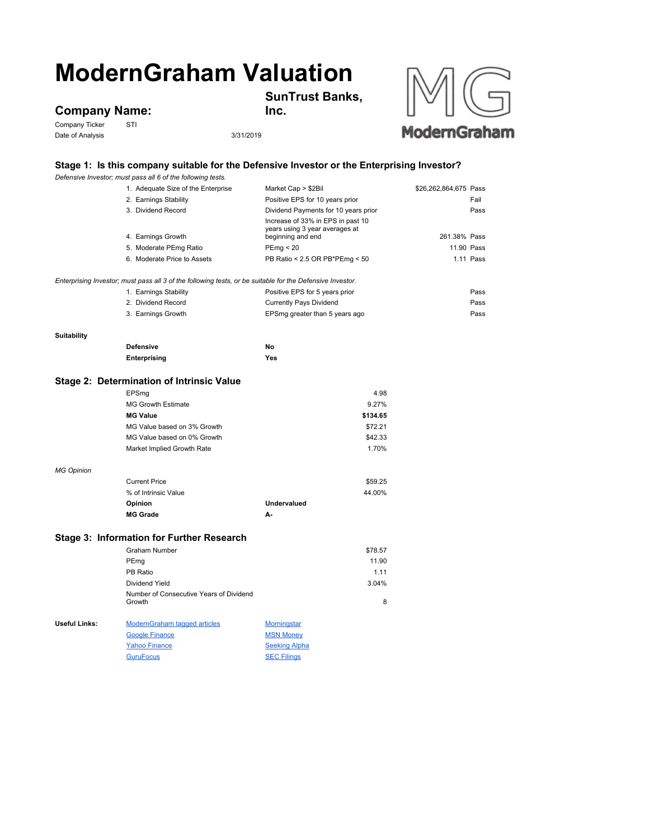# **ModernGraham Valuation**

## **Company Name:**<br>Company Ticker STI

Company Ticker Date of Analysis 3/31/2019



### **Stage 1: Is this company suitable for the Defensive Investor or the Enterprising Investor?**

**Inc.**

**SunTrust Banks,** 

|                                           | Defensive Investor; must pass all 6 of the following tests.                                               |                                                                                          |                       |  |
|-------------------------------------------|-----------------------------------------------------------------------------------------------------------|------------------------------------------------------------------------------------------|-----------------------|--|
|                                           | 1. Adequate Size of the Enterprise                                                                        | Market Cap > \$2Bil                                                                      | \$26,262,864,675 Pass |  |
|                                           | 2. Earnings Stability                                                                                     | Positive EPS for 10 years prior                                                          | Fail                  |  |
|                                           | 3. Dividend Record                                                                                        | Dividend Payments for 10 years prior                                                     | Pass                  |  |
|                                           | 4. Earnings Growth                                                                                        | Increase of 33% in EPS in past 10<br>years using 3 year averages at<br>beginning and end | 261.38% Pass          |  |
|                                           | 5. Moderate PEmg Ratio                                                                                    | PEmp < 20                                                                                | 11.90 Pass            |  |
|                                           | 6. Moderate Price to Assets                                                                               | PB Ratio < 2.5 OR PB*PEmg < 50                                                           | 1.11 Pass             |  |
|                                           |                                                                                                           |                                                                                          |                       |  |
|                                           | Enterprising Investor; must pass all 3 of the following tests, or be suitable for the Defensive Investor. |                                                                                          |                       |  |
|                                           | 1. Earnings Stability                                                                                     | Positive EPS for 5 years prior                                                           | Pass                  |  |
|                                           | 2. Dividend Record                                                                                        | Currently Pays Dividend                                                                  | Pass                  |  |
|                                           | 3. Earnings Growth                                                                                        | EPSmg greater than 5 years ago                                                           | Pass                  |  |
| <b>Suitability</b>                        |                                                                                                           |                                                                                          |                       |  |
|                                           | <b>Defensive</b>                                                                                          | No                                                                                       |                       |  |
|                                           | Enterprising                                                                                              | Yes                                                                                      |                       |  |
|                                           |                                                                                                           |                                                                                          |                       |  |
| Stage 2: Determination of Intrinsic Value |                                                                                                           |                                                                                          |                       |  |
|                                           | EPSmg                                                                                                     | 4.98                                                                                     |                       |  |
|                                           | <b>MG Growth Estimate</b>                                                                                 | 9.27%                                                                                    |                       |  |
|                                           | <b>MG Value</b>                                                                                           | \$134.65                                                                                 |                       |  |
|                                           | MG Value based on 3% Growth                                                                               | \$72.21                                                                                  |                       |  |
|                                           | MG Value based on 0% Growth                                                                               | \$42.33                                                                                  |                       |  |
|                                           | Market Implied Growth Rate                                                                                | 1.70%                                                                                    |                       |  |
| <b>MG Opinion</b>                         |                                                                                                           |                                                                                          |                       |  |
|                                           | <b>Current Price</b>                                                                                      | \$59.25                                                                                  |                       |  |
|                                           | % of Intrinsic Value                                                                                      | 44.00%                                                                                   |                       |  |
|                                           | Opinion                                                                                                   | <b>Undervalued</b>                                                                       |                       |  |
|                                           | <b>MG Grade</b>                                                                                           | А-                                                                                       |                       |  |
|                                           | Stage 3: Information for Further Research                                                                 |                                                                                          |                       |  |
|                                           | <b>Graham Number</b>                                                                                      | \$78.57                                                                                  |                       |  |
|                                           |                                                                                                           | 11.90                                                                                    |                       |  |
|                                           | PEmg<br>PB Ratio                                                                                          |                                                                                          |                       |  |
|                                           |                                                                                                           | 1.11                                                                                     |                       |  |
|                                           | Dividend Yield<br>Number of Consecutive Years of Dividend                                                 | 3.04%                                                                                    |                       |  |
|                                           | Growth                                                                                                    | 8                                                                                        |                       |  |
| Useful Links:                             | <b>ModernGraham tagged articles</b>                                                                       | <b>Morningstar</b>                                                                       |                       |  |
|                                           | <b>Google Finance</b>                                                                                     | <b>MSN Money</b>                                                                         |                       |  |
|                                           | <b>Yahoo Finance</b>                                                                                      | <b>Seeking Alpha</b>                                                                     |                       |  |
|                                           | <b>GuruFocus</b>                                                                                          | <b>SEC Filings</b>                                                                       |                       |  |
|                                           |                                                                                                           |                                                                                          |                       |  |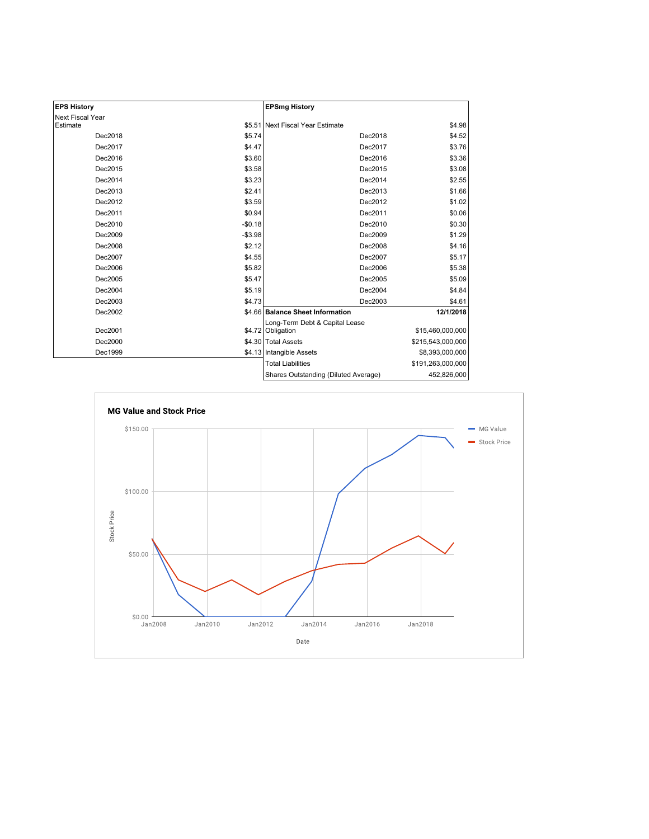| <b>EPS History</b> |          | <b>EPSmg History</b>                                |                   |
|--------------------|----------|-----------------------------------------------------|-------------------|
| Next Fiscal Year   |          |                                                     |                   |
| Estimate           |          | \$5.51 Next Fiscal Year Estimate                    | \$4.98            |
| Dec2018            | \$5.74   | Dec2018                                             | \$4.52            |
| Dec2017            | \$4.47   | Dec2017                                             | \$3.76            |
| Dec2016            | \$3.60   | Dec2016                                             | \$3.36            |
| Dec2015            | \$3.58   | Dec2015                                             | \$3.08            |
| Dec2014            | \$3.23   | Dec2014                                             | \$2.55            |
| Dec2013            | \$2.41   | Dec2013                                             | \$1.66            |
| Dec2012            | \$3.59   | Dec2012                                             | \$1.02            |
| Dec2011            | \$0.94   | Dec2011                                             | \$0.06            |
| Dec2010            | $-$0.18$ | Dec2010                                             | \$0.30            |
| Dec2009            | $-$3.98$ | Dec2009                                             | \$1.29            |
| Dec2008            | \$2.12   | Dec2008                                             | \$4.16            |
| Dec2007            | \$4.55   | Dec2007                                             | \$5.17            |
| Dec2006            | \$5.82   | Dec2006                                             | \$5.38            |
| Dec2005            | \$5.47   | Dec2005                                             | \$5.09            |
| Dec2004            | \$5.19   | Dec2004                                             | \$4.84            |
| Dec2003            | \$4.73   | Dec2003                                             | \$4.61            |
| Dec2002            |          | \$4.66 Balance Sheet Information                    | 12/1/2018         |
| Dec2001            |          | Long-Term Debt & Capital Lease<br>\$4.72 Obligation | \$15,460,000,000  |
| Dec2000            |          | \$4.30 Total Assets                                 | \$215,543,000,000 |
| Dec1999            |          | \$4.13 Intangible Assets                            | \$8,393,000,000   |
|                    |          | <b>Total Liabilities</b>                            | \$191,263,000,000 |
|                    |          | Shares Outstanding (Diluted Average)                | 452,826,000       |